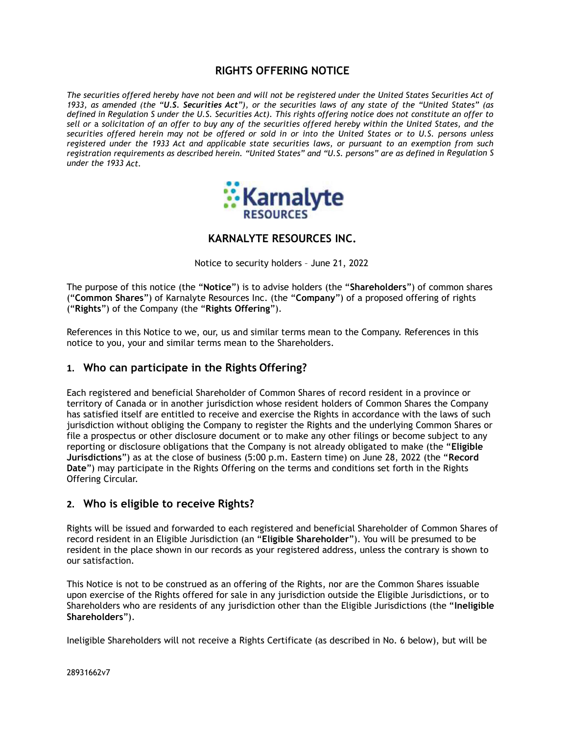# RIGHTS OFFERING NOTICE

The securities offered hereby have not been and will not be registered under the United States Securities Act of 1933, as amended (the "U.S. Securities Act"), or the securities laws of any state of the "United States" (as defined in Regulation S under the U.S. Securities Act). This rights offering notice does not constitute an offer to sell or a solicitation of an offer to buy any of the securities offered hereby within the United States, and the securities offered herein may not be offered or sold in or into the United States or to U.S. persons unless registered under the 1933 Act and applicable state securities laws, or pursuant to an exemption from such registration requirements as described herein. "United States" and "U.S. persons" are as defined in Regulation S under the 1933 Act.



### KARNALYTE RESOURCES INC.

Notice to security holders – June 21, 2022

The purpose of this notice (the "Notice") is to advise holders (the "Shareholders") of common shares ("Common Shares") of Karnalyte Resources Inc. (the "Company") of a proposed offering of rights ("Rights") of the Company (the "Rights Offering").

References in this Notice to we, our, us and similar terms mean to the Company. References in this notice to you, your and similar terms mean to the Shareholders.

### 1. Who can participate in the Rights Offering?

Each registered and beneficial Shareholder of Common Shares of record resident in a province or territory of Canada or in another jurisdiction whose resident holders of Common Shares the Company has satisfied itself are entitled to receive and exercise the Rights in accordance with the laws of such jurisdiction without obliging the Company to register the Rights and the underlying Common Shares or file a prospectus or other disclosure document or to make any other filings or become subject to any reporting or disclosure obligations that the Company is not already obligated to make (the "Eligible Jurisdictions") as at the close of business (5:00 p.m. Eastern time) on June 28, 2022 (the "Record Date") may participate in the Rights Offering on the terms and conditions set forth in the Rights Offering Circular.

### 2. Who is eligible to receive Rights?

Rights will be issued and forwarded to each registered and beneficial Shareholder of Common Shares of record resident in an Eligible Jurisdiction (an "Eligible Shareholder"). You will be presumed to be resident in the place shown in our records as your registered address, unless the contrary is shown to our satisfaction.

This Notice is not to be construed as an offering of the Rights, nor are the Common Shares issuable upon exercise of the Rights offered for sale in any jurisdiction outside the Eligible Jurisdictions, or to Shareholders who are residents of any jurisdiction other than the Eligible Jurisdictions (the "Ineligible Shareholders").

Ineligible Shareholders will not receive a Rights Certificate (as described in No. 6 below), but will be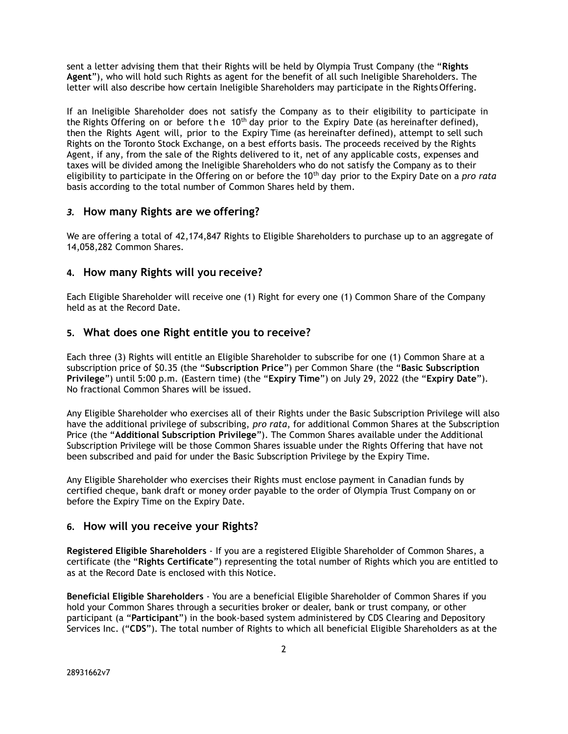sent a letter advising them that their Rights will be held by Olympia Trust Company (the "Rights Agent"), who will hold such Rights as agent for the benefit of all such Ineligible Shareholders. The letter will also describe how certain Ineligible Shareholders may participate in the Rights Offering.

If an Ineligible Shareholder does not satisfy the Company as to their eligibility to participate in the Rights Offering on or before the 10<sup>th</sup> day prior to the Expiry Date (as hereinafter defined), then the Rights Agent will, prior to the Expiry Time (as hereinafter defined), attempt to sell such Rights on the Toronto Stock Exchange, on a best efforts basis. The proceeds received by the Rights Agent, if any, from the sale of the Rights delivered to it, net of any applicable costs, expenses and taxes will be divided among the Ineligible Shareholders who do not satisfy the Company as to their eligibility to participate in the Offering on or before the  $10<sup>th</sup>$  day prior to the Expiry Date on a pro rata basis according to the total number of Common Shares held by them.

#### 3. How many Rights are we offering?

We are offering a total of 42,174,847 Rights to Eligible Shareholders to purchase up to an aggregate of 14,058,282 Common Shares.

#### 4. How many Rights will you receive?

Each Eligible Shareholder will receive one (1) Right for every one (1) Common Share of the Company held as at the Record Date.

#### 5. What does one Right entitle you to receive?

Each three (3) Rights will entitle an Eligible Shareholder to subscribe for one (1) Common Share at a subscription price of \$0.35 (the "Subscription Price") per Common Share (the "Basic Subscription Privilege") until 5:00 p.m. (Eastern time) (the "Expiry Time") on July 29, 2022 (the "Expiry Date"). No fractional Common Shares will be issued.

Any Eligible Shareholder who exercises all of their Rights under the Basic Subscription Privilege will also have the additional privilege of subscribing, pro rata, for additional Common Shares at the Subscription Price (the "Additional Subscription Privilege"). The Common Shares available under the Additional Subscription Privilege will be those Common Shares issuable under the Rights Offering that have not been subscribed and paid for under the Basic Subscription Privilege by the Expiry Time.

Any Eligible Shareholder who exercises their Rights must enclose payment in Canadian funds by certified cheque, bank draft or money order payable to the order of Olympia Trust Company on or before the Expiry Time on the Expiry Date.

#### 6. How will you receive your Rights?

Registered Eligible Shareholders - If you are a registered Eligible Shareholder of Common Shares, a certificate (the "Rights Certificate") representing the total number of Rights which you are entitled to as at the Record Date is enclosed with this Notice.

Beneficial Eligible Shareholders - You are a beneficial Eligible Shareholder of Common Shares if you hold your Common Shares through a securities broker or dealer, bank or trust company, or other participant (a "Participant") in the book-based system administered by CDS Clearing and Depository Services Inc. ("CDS"). The total number of Rights to which all beneficial Eligible Shareholders as at the